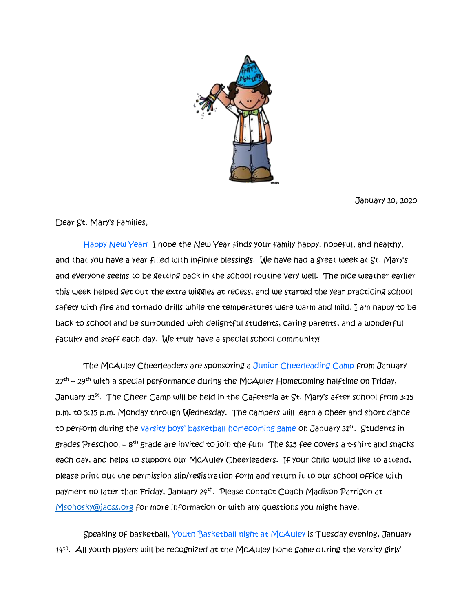

January 10, 2020

Dear St. Mary's Families,

 Happy New Year! I hope the New Year finds your family happy, hopeful, and healthy, and that you have a year filled with infinite blessings. We have had a great week at St. Mary's and everyone seems to be getting back in the school routine very well. The nice weather earlier this week helped get out the extra wiggles at recess, and we started the year practicing school safety with fire and tornado drills while the temperatures were warm and mild. I am happy to be back to school and be surrounded with delightful students, caring parents, and a wonderful faculty and staff each day. We truly have a special school community!

 The McAuley Cheerleaders are sponsoring a Junior Cheerleading Camp from January 27<sup>th</sup> – 29<sup>th</sup> with a special performance during the McAuley Homecoming halftime on Friday, January 31st. The Cheer Camp will be held in the Cafeteria at  $\operatorname{St}$ . Mary's after school from 3:15 p.m. to 5:15 p.m. Monday through Wednesday. The campers will learn a cheer and short dance to perform during the varsity boys' basketball homecoming game on January 31<sup>st</sup>. Students in grades Preschool –  $8^\text{th}$  grade are invited to join the fun! The \$25 fee covers a t-shirt and snacks each day, and helps to support our McAuley Cheerleaders. If your child would like to attend, please print out the permission slip/registration form and return it to our school office with payment no later than Friday, January 24<sup>th</sup>. Please contact Coach Madison Parrigon at [Msohosky@jacss.org](mailto:Msohosky@jacss.org) for more information or with any questions you might have.

 Speaking of basketball, Youth Basketball night at McAuley is Tuesday evening, January 14th . All youth players will be recognized at the McAuley home game during the varsity girls'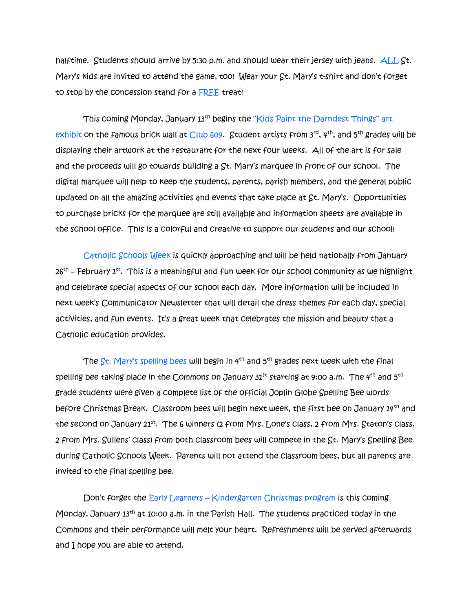halftime. Students should arrive by 5:30 p.m. and should wear their jersey with jeans. ALL St. Mary's kids are invited to attend the game, too! Wear your St. Mary's t-shirt and don't forget to stop by the concession stand for a FREE treat!

This coming Monday, January 13<sup>th</sup> begins the "Kids Paint the Darndest Things" art exhibit on the famous brick wall at Club 609. Student artists from  $3^{rd}$ ,  $4^{th}$ , and  $5^{th}$  grades will be displaying their artwork at the restaurant for the next four weeks. All of the art is for sale and the proceeds will go towards building a St. Mary's marquee in front of our school. The digital marquee will help to keep the students, parents, parish members, and the general public updated on all the amazing activities and events that take place at St. Mary's. Opportunities to purchase bricks for the marquee are still available and information sheets are available in the school office. This is a colorful and creative to support our students and our school!

 Catholic Schools Week is quickly approaching and will be held nationally from January 26<sup>th</sup> – February 1<sup>st</sup>. This is a meaningful and fun week for our school community as we highlight and celebrate special aspects of our school each day. More information will be included in next week's Communicator Newsletter that will detail the dress themes for each day, special activities, and fun events. It's a great week that celebrates the mission and beauty that a Catholic education provides.

The  $St.$  Mary's spelling bees will begin in  $4<sup>th</sup>$  and  $5<sup>th</sup>$  grades next week with the final spelling bee taking place in the Commons on January  $31<sup>st</sup>$  starting at 9:00 a.m. The  $4<sup>th</sup>$  and  $5<sup>th</sup>$ grade students were given a complete list of the official Joplin Globe Spelling Bee words before Christmas Break. Classroom bees will begin next week, the first bee on January 14th and the second on January 21st. The 6 winners (2 from Mrs. Lone's class, 2 from Mrs. Staton's class, 2 from Mrs. Sullens' class) from both classroom bees will compete in the St. Mary's Spelling Bee during Catholic Schools Week. Parents will not attend the classroom bees, but all parents are invited to the final spelling bee.

 Don't forget the Early Learners – Kindergarten Christmas program is this coming Monday, January 13th at 10:00 a.m. in the Parish Hall. The students practiced today in the Commons and their performance will melt your heart. Refreshments will be served afterwards and I hope you are able to attend.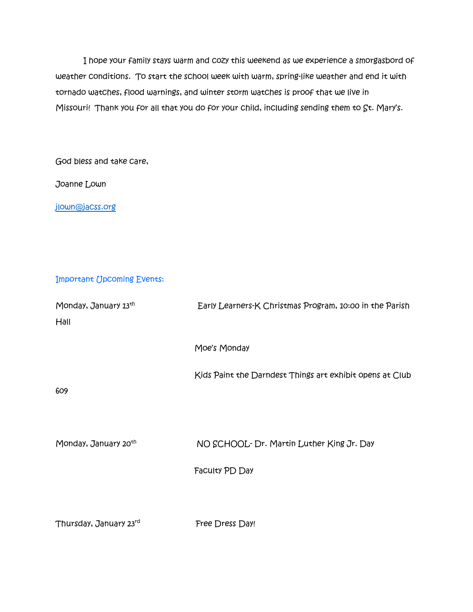I hope your family stays warm and cozy this weekend as we experience a smorgasbord of weather conditions. To start the school week with warm, spring-like weather and end it with tornado watches, flood warnings, and winter storm watches is proof that we live in Missouri! Thank you for all that you do for your child, including sending them to St. Mary's.

God bless and take care,

Joanne Lown

[jlown@jacss.org](mailto:jlown@jacss.org)

## Important Upcoming Events:

| Monday, January 13th             | Early Learners-K Christmas Program, 10:00 in the Parish  |
|----------------------------------|----------------------------------------------------------|
| Hall                             |                                                          |
|                                  |                                                          |
|                                  | Moe's Monday                                             |
|                                  |                                                          |
|                                  | Kids Paint the Darndest Things art exhibit opens at Club |
| 609                              |                                                          |
|                                  |                                                          |
|                                  |                                                          |
| Monday, January 20 <sup>th</sup> | NO SCHOOL- Dr. Martin Luther King Jr. Day                |
|                                  |                                                          |
|                                  | Faculty PD Day                                           |
|                                  |                                                          |
|                                  |                                                          |
| Thursday, January 23rd           | <b>Free Dress Day!</b>                                   |
|                                  |                                                          |